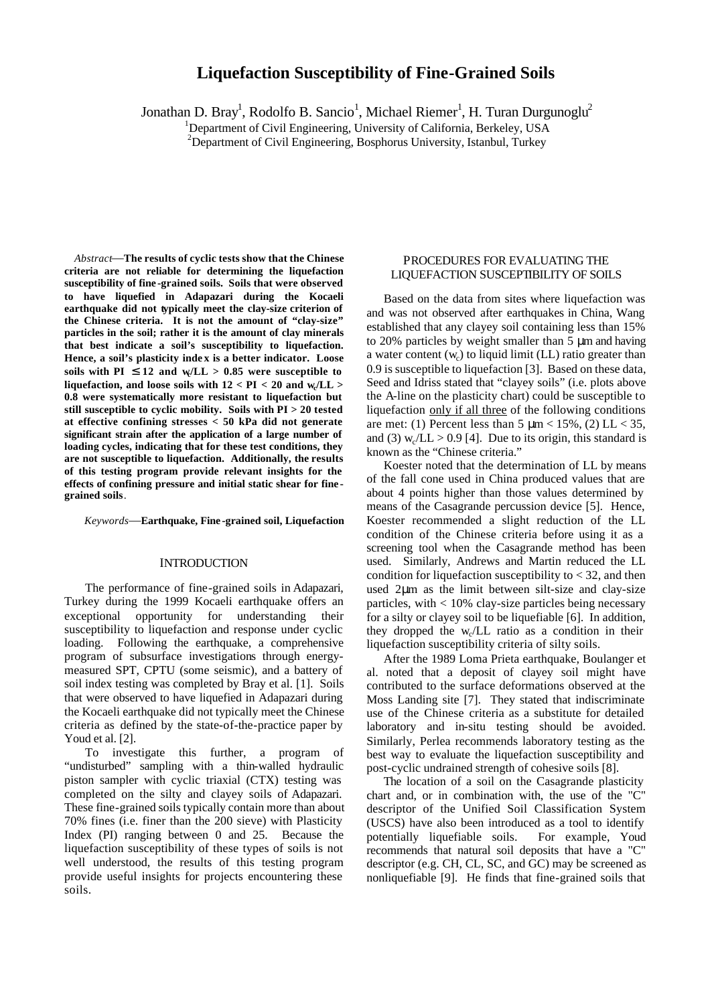# **Liquefaction Susceptibility of Fine-Grained Soils**

Jonathan D. Bray<sup>1</sup>, Rodolfo B. Sancio<sup>1</sup>, Michael Riemer<sup>1</sup>, H. Turan Durgunoglu<sup>2</sup>

<sup>1</sup>Department of Civil Engineering, University of California, Berkeley, USA

<sup>2</sup>Department of Civil Engineering, Bosphorus University, Istanbul, Turkey

*Abstract*—**The results of cyclic tests show that the Chinese criteria are not reliable for determining the liquefaction susceptibility of fine -grained soils. Soils that were observed to have liquefied in Adapazari during the Kocaeli earthquake did not typically meet the clay-size criterion of the Chinese criteria. It is not the amount of "clay-size" particles in the soil; rather it is the amount of clay minerals that best indicate a soil's susceptibility to liquefaction. Hence, a soil's plasticity inde x is a better indicator. Loose**  soils with  $PI \leq 12$  and  $w/LL > 0.85$  were susceptible to liquefaction, and loose soils with  $12 < PI < 20$  and  $w_c/LL >$ **0.8 were systematically more resistant to liquefaction but still susceptible to cyclic mobility. Soils with PI > 20 tested at effective confining stresses < 50 kPa did not generate significant strain after the application of a large number of loading cycles, indicating that for these test conditions, they are not susceptible to liquefaction. Additionally, the results of this testing program provide relevant insights for the effects of confining pressure and initial static shear for fine grained soils**.

*Keywords*—**Earthquake, Fine -grained soil, Liquefaction**

### INTRODUCTION

The performance of fine-grained soils in Adapazari, Turkey during the 1999 Kocaeli earthquake offers an exceptional opportunity for understanding their susceptibility to liquefaction and response under cyclic loading. Following the earthquake, a comprehensive program of subsurface investigations through energymeasured SPT, CPTU (some seismic), and a battery of soil index testing was completed by Bray et al. [1]. Soils that were observed to have liquefied in Adapazari during the Kocaeli earthquake did not typically meet the Chinese criteria as defined by the state-of-the-practice paper by Youd et al. [2].

To investigate this further, a program of "undisturbed" sampling with a thin-walled hydraulic piston sampler with cyclic triaxial (CTX) testing was completed on the silty and clayey soils of Adapazari. These fine-grained soils typically contain more than about 70% fines (i.e. finer than the 200 sieve) with Plasticity Index (PI) ranging between 0 and 25. Because the liquefaction susceptibility of these types of soils is not well understood, the results of this testing program provide useful insights for projects encountering these soils.

# PROCEDURES FOR EVALUATING THE LIQUEFACTION SUSCEPTIBILITY OF SOILS

Based on the data from sites where liquefaction was and was not observed after earthquakes in China, Wang established that any clayey soil containing less than 15% to 20% particles by weight smaller than 5 μm and having a water content  $(w_c)$  to liquid limit (LL) ratio greater than 0.9 is susceptible to liquefaction [3]. Based on these data, Seed and Idriss stated that "clayey soils" (i.e. plots above the A-line on the plasticity chart) could be susceptible to liquefaction only if all three of the following conditions are met: (1) Percent less than  $5 \mu m < 15\%$ , (2) LL  $< 35$ , and (3)  $w_c/LL > 0.9$  [4]. Due to its origin, this standard is known as the "Chinese criteria."

Koester noted that the determination of LL by means of the fall cone used in China produced values that are about 4 points higher than those values determined by means of the Casagrande percussion device [5]. Hence, Koester recommended a slight reduction of the LL condition of the Chinese criteria before using it as a screening tool when the Casagrande method has been used. Similarly, Andrews and Martin reduced the LL condition for liquefaction susceptibility to  $<$  32, and then used 2μm as the limit between silt-size and clay-size particles, with < 10% clay-size particles being necessary for a silty or clayey soil to be liquefiable [6]. In addition, they dropped the  $w_c/LL$  ratio as a condition in their liquefaction susceptibility criteria of silty soils.

After the 1989 Loma Prieta earthquake, Boulanger et al. noted that a deposit of clayey soil might have contributed to the surface deformations observed at the Moss Landing site [7]. They stated that indiscriminate use of the Chinese criteria as a substitute for detailed laboratory and in-situ testing should be avoided. Similarly, Perlea recommends laboratory testing as the best way to evaluate the liquefaction susceptibility and post-cyclic undrained strength of cohesive soils [8].

The location of a soil on the Casagrande plasticity chart and, or in combination with, the use of the "C" descriptor of the Unified Soil Classification System (USCS) have also been introduced as a tool to identify potentially liquefiable soils. For example, Youd recommends that natural soil deposits that have a "C" descriptor (e.g. CH, CL, SC, and GC) may be screened as nonliquefiable [9]. He finds that fine-grained soils that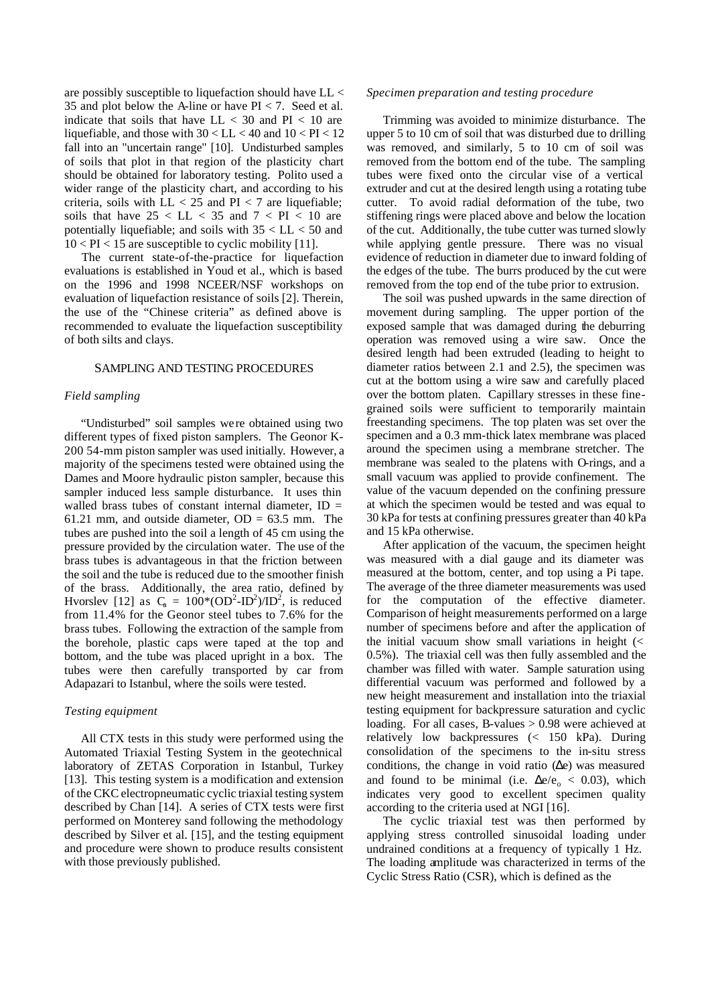are possibly susceptible to liquefaction should have LL < 35 and plot below the A-line or have  $PI < 7$ . Seed et al. indicate that soils that have  $LL < 30$  and  $PI < 10$  are liquefiable, and those with  $30 < L L < 40$  and  $10 < PI < 12$ fall into an "uncertain range" [10]. Undisturbed samples of soils that plot in that region of the plasticity chart should be obtained for laboratory testing. Polito used a wider range of the plasticity chart, and according to his criteria, soils with  $LL < 25$  and  $PI < 7$  are liquefiable; soils that have  $25 < LL < 35$  and  $7 < PI < 10$  are potentially liquefiable; and soils with  $35 < LL < 50$  and  $10 < PI < 15$  are susceptible to cyclic mobility [11].

The current state-of-the-practice for liquefaction evaluations is established in Youd et al., which is based on the 1996 and 1998 NCEER/NSF workshops on evaluation of liquefaction resistance of soils [2]. Therein, the use of the "Chinese criteria" as defined above is recommended to evaluate the liquefaction susceptibility of both silts and clays.

### SAMPLING AND TESTING PROCEDURES

### *Field sampling*

"Undisturbed" soil samples were obtained using two different types of fixed piston samplers. The Geonor K-200 54-mm piston sampler was used initially. However, a majority of the specimens tested were obtained using the Dames and Moore hydraulic piston sampler, because this sampler induced less sample disturbance. It uses thin walled brass tubes of constant internal diameter.  $ID =$ 61.21 mm, and outside diameter,  $OD = 63.5$  mm. The tubes are pushed into the soil a length of 45 cm using the pressure provided by the circulation water. The use of the brass tubes is advantageous in that the friction between the soil and the tube is reduced due to the smoother finish of the brass. Additionally, the area ratio, defined by Hvorslev [12] as  $C_a = 100^*(OD^2-ID^2)/ID^2$ , is reduced from 11.4% for the Geonor steel tubes to 7.6% for the brass tubes. Following the extraction of the sample from the borehole, plastic caps were taped at the top and bottom, and the tube was placed upright in a box. The tubes were then carefully transported by car from Adapazari to Istanbul, where the soils were tested.

### *Testing equipment*

All CTX tests in this study were performed using the Automated Triaxial Testing System in the geotechnical laboratory of ZETAS Corporation in Istanbul, Turkey [13]. This testing system is a modification and extension of the CKC electropneumatic cyclic triaxial testing system described by Chan [14]. A series of CTX tests were first performed on Monterey sand following the methodology described by Silver et al. [15], and the testing equipment and procedure were shown to produce results consistent with those previously published.

#### *Specimen preparation and testing procedure*

Trimming was avoided to minimize disturbance. The upper 5 to 10 cm of soil that was disturbed due to drilling was removed, and similarly, 5 to 10 cm of soil was removed from the bottom end of the tube. The sampling tubes were fixed onto the circular vise of a vertical extruder and cut at the desired length using a rotating tube cutter. To avoid radial deformation of the tube, two stiffening rings were placed above and below the location of the cut. Additionally, the tube cutter was turned slowly while applying gentle pressure. There was no visual evidence of reduction in diameter due to inward folding of the edges of the tube. The burrs produced by the cut were removed from the top end of the tube prior to extrusion.

The soil was pushed upwards in the same direction of movement during sampling. The upper portion of the exposed sample that was damaged during the deburring operation was removed using a wire saw. Once the desired length had been extruded (leading to height to diameter ratios between 2.1 and 2.5), the specimen was cut at the bottom using a wire saw and carefully placed over the bottom platen. Capillary stresses in these finegrained soils were sufficient to temporarily maintain freestanding specimens. The top platen was set over the specimen and a 0.3 mm-thick latex membrane was placed around the specimen using a membrane stretcher. The membrane was sealed to the platens with O-rings, and a small vacuum was applied to provide confinement. The value of the vacuum depended on the confining pressure at which the specimen would be tested and was equal to 30 kPa for tests at confining pressures greater than 40 kPa and 15 kPa otherwise.

After application of the vacuum, the specimen height was measured with a dial gauge and its diameter was measured at the bottom, center, and top using a Pi tape. The average of the three diameter measurements was used for the computation of the effective diameter. Comparison of height measurements performed on a large number of specimens before and after the application of the initial vacuum show small variations in height  $\left\langle \right\rangle$ 0.5%). The triaxial cell was then fully assembled and the chamber was filled with water. Sample saturation using differential vacuum was performed and followed by a new height measurement and installation into the triaxial testing equipment for backpressure saturation and cyclic loading. For all cases, B-values > 0.98 were achieved at relatively low backpressures (< 150 kPa). During consolidation of the specimens to the in-situ stress conditions, the change in void ratio  $($ Δe) was measured and found to be minimal (i.e.  $\Delta e/e_0 < 0.03$ ), which indicates very good to excellent specimen quality according to the criteria used at NGI [16].

The cyclic triaxial test was then performed by applying stress controlled sinusoidal loading under undrained conditions at a frequency of typically 1 Hz. The loading amplitude was characterized in terms of the Cyclic Stress Ratio (CSR), which is defined as the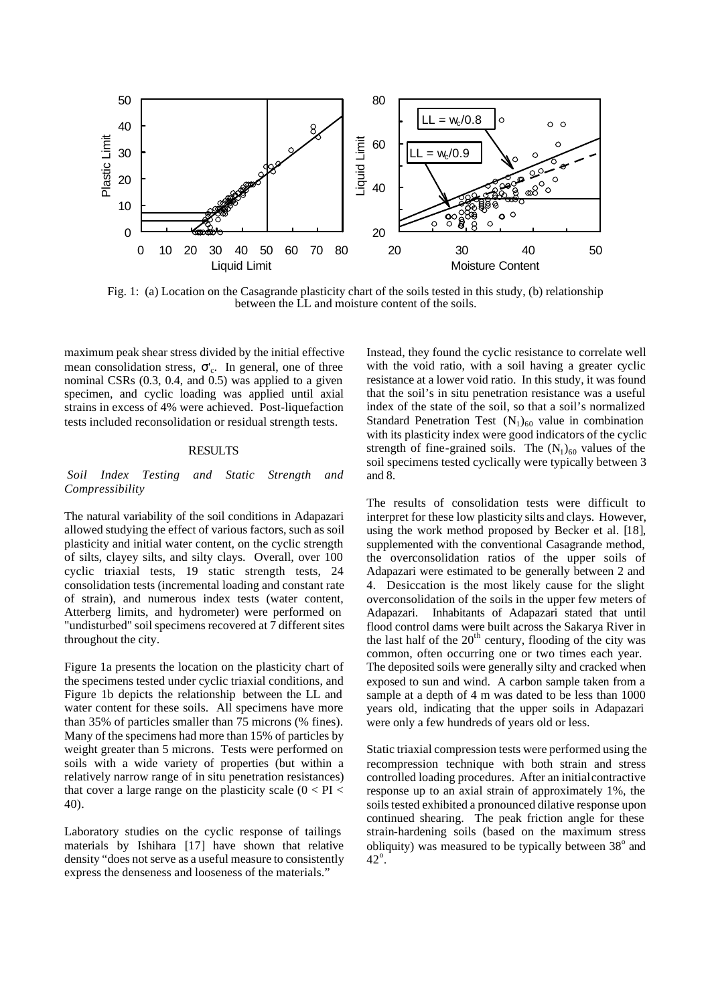

Fig. 1: (a) Location on the Casagrande plasticity chart of the soils tested in this study, (b) relationship between the LL and moisture content of the soils.

maximum peak shear stress divided by the initial effective mean consolidation stress,  $\sigma_c$ . In general, one of three nominal CSRs (0.3, 0.4, and 0.5) was applied to a given specimen, and cyclic loading was applied until axial strains in excess of 4% were achieved. Post-liquefaction tests included reconsolidation or residual strength tests.

# **RESULTS**

# *Soil Index Testing and Static Strength and Compressibility*

The natural variability of the soil conditions in Adapazari allowed studying the effect of various factors, such as soil plasticity and initial water content, on the cyclic strength of silts, clayey silts, and silty clays. Overall, over 100 cyclic triaxial tests, 19 static strength tests, 24 consolidation tests (incremental loading and constant rate of strain), and numerous index tests (water content, Atterberg limits, and hydrometer) were performed on "undisturbed" soil specimens recovered at 7 different sites throughout the city.

Figure 1a presents the location on the plasticity chart of the specimens tested under cyclic triaxial conditions, and Figure 1b depicts the relationship between the LL and water content for these soils. All specimens have more than 35% of particles smaller than 75 microns (% fines). Many of the specimens had more than 15% of particles by weight greater than 5 microns. Tests were performed on soils with a wide variety of properties (but within a relatively narrow range of in situ penetration resistances) that cover a large range on the plasticity scale  $(0 <$  PI  $<$ 40).

Laboratory studies on the cyclic response of tailings materials by Ishihara [17] have shown that relative density "does not serve as a useful measure to consistently express the denseness and looseness of the materials."

Instead, they found the cyclic resistance to correlate well with the void ratio, with a soil having a greater cyclic resistance at a lower void ratio. In this study, it was found that the soil's in situ penetration resistance was a useful index of the state of the soil, so that a soil's normalized Standard Penetration Test  $(N_1)_{60}$  value in combination with its plasticity index were good indicators of the cyclic strength of fine-grained soils. The  $(N_1)_{60}$  values of the soil specimens tested cyclically were typically between 3 and 8.

The results of consolidation tests were difficult to interpret for these low plasticity silts and clays. However, using the work method proposed by Becker et al. [18], supplemented with the conventional Casagrande method, the overconsolidation ratios of the upper soils of Adapazari were estimated to be generally between 2 and 4. Desiccation is the most likely cause for the slight overconsolidation of the soils in the upper few meters of Adapazari. Inhabitants of Adapazari stated that until flood control dams were built across the Sakarya River in the last half of the  $20<sup>th</sup>$  century, flooding of the city was common, often occurring one or two times each year. The deposited soils were generally silty and cracked when exposed to sun and wind. A carbon sample taken from a sample at a depth of 4 m was dated to be less than 1000 years old, indicating that the upper soils in Adapazari were only a few hundreds of years old or less.

Static triaxial compression tests were performed using the recompression technique with both strain and stress controlled loading procedures. After an initial contractive response up to an axial strain of approximately 1%, the soils tested exhibited a pronounced dilative response upon continued shearing. The peak friction angle for these strain-hardening soils (based on the maximum stress obliquity) was measured to be typically between 38° and  $42^\circ$ .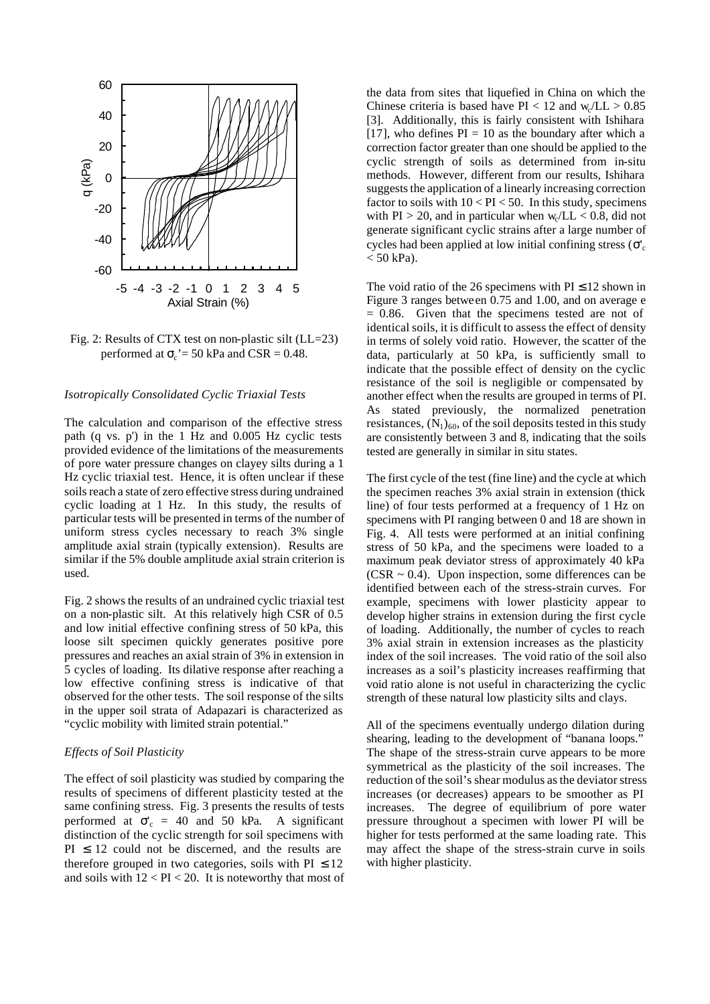

Fig. 2: Results of CTX test on non-plastic silt (LL=23) performed at  $\sigma_c$ ' = 50 kPa and CSR = 0.48.

### *Isotropically Consolidated Cyclic Triaxial Tests*

The calculation and comparison of the effective stress path (q vs. p') in the 1 Hz and 0.005 Hz cyclic tests provided evidence of the limitations of the measurements of pore water pressure changes on clayey silts during a 1 Hz cyclic triaxial test. Hence, it is often unclear if these soils reach a state of zero effective stress during undrained cyclic loading at 1 Hz. In this study, the results of particular tests will be presented in terms of the number of uniform stress cycles necessary to reach 3% single amplitude axial strain (typically extension). Results are similar if the 5% double amplitude axial strain criterion is used.

Fig. 2 shows the results of an undrained cyclic triaxial test on a non-plastic silt. At this relatively high CSR of 0.5 and low initial effective confining stress of 50 kPa, this loose silt specimen quickly generates positive pore pressures and reaches an axial strain of 3% in extension in 5 cycles of loading. Its dilative response after reaching a low effective confining stress is indicative of that observed for the other tests. The soil response of the silts in the upper soil strata of Adapazari is characterized as "cyclic mobility with limited strain potential."

# *Effects of Soil Plasticity*

The effect of soil plasticity was studied by comparing the results of specimens of different plasticity tested at the same confining stress. Fig. 3 presents the results of tests performed at  $\sigma'_{c} = 40$  and 50 kPa. A significant distinction of the cyclic strength for soil specimens with  $PI \leq 12$  could not be discerned, and the results are therefore grouped in two categories, soils with  $PI \le 12$ and soils with  $12 < PI < 20$ . It is noteworthy that most of the data from sites that liquefied in China on which the Chinese criteria is based have  $PI < 12$  and  $w_c / LL > 0.85$ [3]. Additionally, this is fairly consistent with Ishihara [17], who defines  $PI = 10$  as the boundary after which a correction factor greater than one should be applied to the cyclic strength of soils as determined from in-situ methods. However, different from our results, Ishihara suggests the application of a linearly increasing correction factor to soils with  $10 < PI < 50$ . In this study, specimens with  $PI > 20$ , and in particular when  $w_c/L < 0.8$ , did not generate significant cyclic strains after a large number of cycles had been applied at low initial confining stress ( $\sigma_c$ )  $<$  50 kPa).

The void ratio of the 26 specimens with  $PI \le 12$  shown in Figure 3 ranges between 0.75 and 1.00, and on average e  $= 0.86$ . Given that the specimens tested are not of identical soils, it is difficult to assess the effect of density in terms of solely void ratio. However, the scatter of the data, particularly at 50 kPa, is sufficiently small to indicate that the possible effect of density on the cyclic resistance of the soil is negligible or compensated by another effect when the results are grouped in terms of PI. As stated previously, the normalized penetration resistances,  $(N_1)_{60}$ , of the soil deposits tested in this study are consistently between 3 and 8, indicating that the soils tested are generally in similar in situ states.

The first cycle of the test (fine line) and the cycle at which the specimen reaches 3% axial strain in extension (thick line) of four tests performed at a frequency of 1 Hz on specimens with PI ranging between 0 and 18 are shown in Fig. 4. All tests were performed at an initial confining stress of 50 kPa, and the specimens were loaded to a maximum peak deviator stress of approximately 40 kPa  $(CSR \sim 0.4)$ . Upon inspection, some differences can be identified between each of the stress-strain curves. For example, specimens with lower plasticity appear to develop higher strains in extension during the first cycle of loading. Additionally, the number of cycles to reach 3% axial strain in extension increases as the plasticity index of the soil increases. The void ratio of the soil also increases as a soil's plasticity increases reaffirming that void ratio alone is not useful in characterizing the cyclic strength of these natural low plasticity silts and clays.

All of the specimens eventually undergo dilation during shearing, leading to the development of "banana loops." The shape of the stress-strain curve appears to be more symmetrical as the plasticity of the soil increases. The reduction of the soil's shear modulus as the deviator stress increases (or decreases) appears to be smoother as PI increases. The degree of equilibrium of pore water pressure throughout a specimen with lower PI will be higher for tests performed at the same loading rate. This may affect the shape of the stress-strain curve in soils with higher plasticity.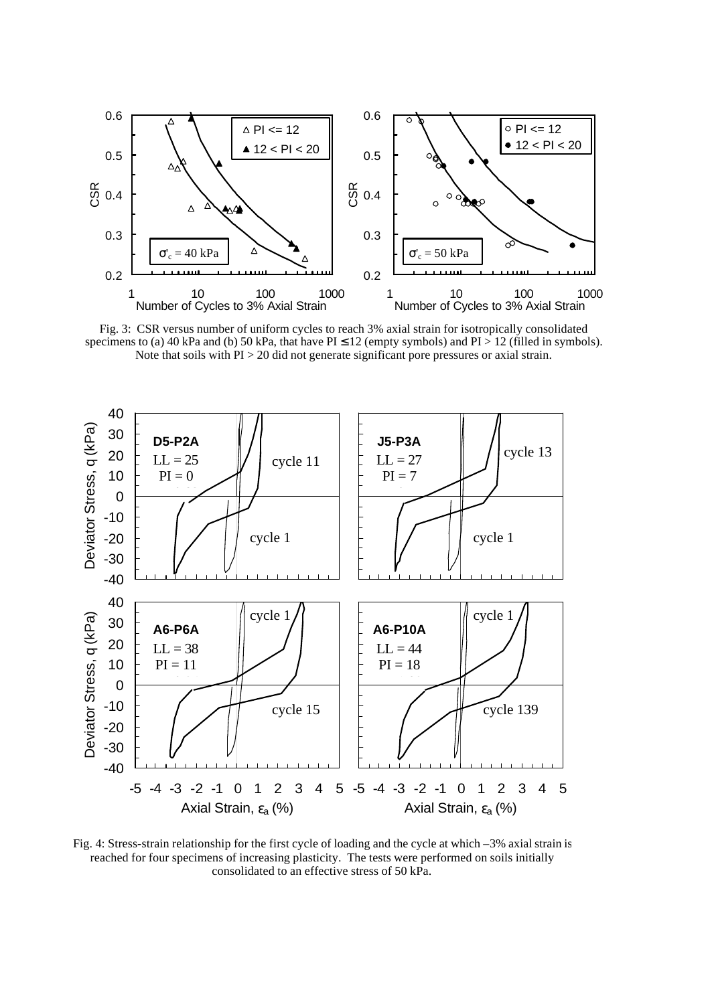

Fig. 3: CSR versus number of uniform cycles to reach 3% axial strain for isotropically consolidated specimens to (a) 40 kPa and (b) 50 kPa, that have  $PI \le 12$  (empty symbols) and  $PI > 12$  (filled in symbols). Note that soils with PI > 20 did not generate significant pore pressures or axial strain.



Fig. 4: Stress-strain relationship for the first cycle of loading and the cycle at which –3% axial strain is reached for four specimens of increasing plasticity. The tests were performed on soils initially consolidated to an effective stress of 50 kPa.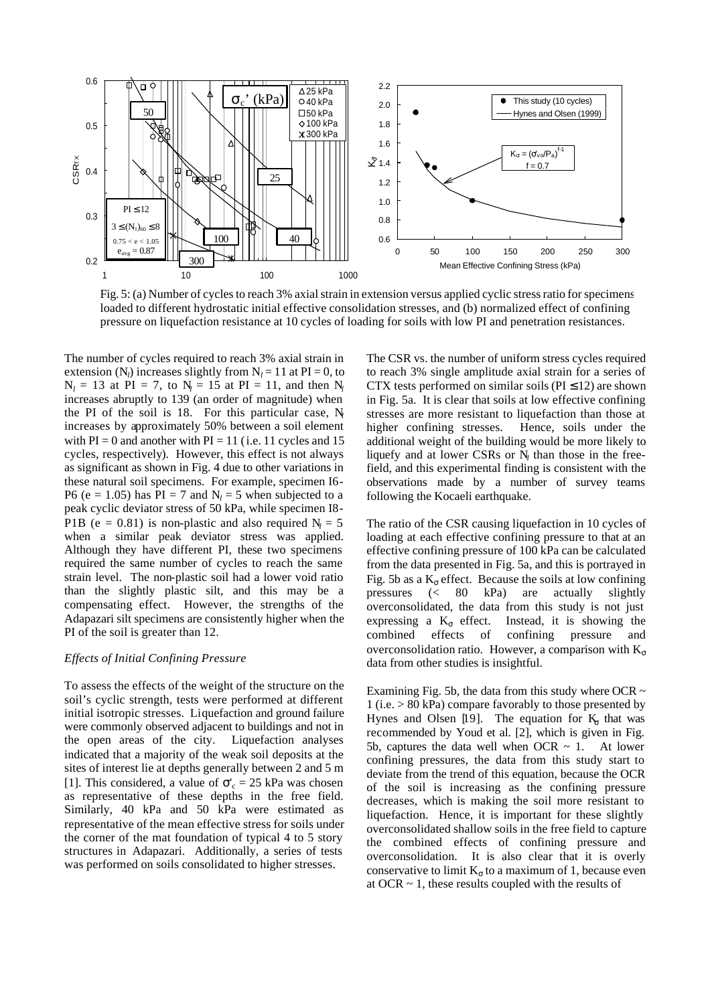

Fig. 5: (a) Number of cycles to reach 3% axial strain in extension versus applied cyclic stress ratio for specimens loaded to different hydrostatic initial effective consolidation stresses, and (b) normalized effect of confining pressure on liquefaction resistance at 10 cycles of loading for soils with low PI and penetration resistances.

The number of cycles required to reach 3% axial strain in extension  $(N_l)$  increases slightly from  $N_l = 11$  at  $PI = 0$ , to  $N_l = 13$  at PI = 7, to  $N_l = 15$  at PI = 11, and then  $N_l$ increases abruptly to 139 (an order of magnitude) when the PI of the soil is 18. For this particular case, N*<sup>l</sup>* increases by approximately 50% between a soil element with  $PI = 0$  and another with  $PI = 11$  (i.e. 11 cycles and 15 cycles, respectively). However, this effect is not always as significant as shown in Fig. 4 due to other variations in these natural soil specimens. For example, specimen I6- P6 (e = 1.05) has  $PI = 7$  and  $N_l = 5$  when subjected to a peak cyclic deviator stress of 50 kPa, while specimen I8- P1B ( $e = 0.81$ ) is non-plastic and also required  $N_l = 5$ when a similar peak deviator stress was applied. Although they have different PI, these two specimens required the same number of cycles to reach the same strain level. The non-plastic soil had a lower void ratio than the slightly plastic silt, and this may be a compensating effect. However, the strengths of the Adapazari silt specimens are consistently higher when the PI of the soil is greater than 12.

## *Effects of Initial Confining Pressure*

To assess the effects of the weight of the structure on the soil's cyclic strength, tests were performed at different initial isotropic stresses. Liquefaction and ground failure were commonly observed adjacent to buildings and not in the open areas of the city. Liquefaction analyses indicated that a majority of the weak soil deposits at the sites of interest lie at depths generally between 2 and 5 m [1]. This considered, a value of  $\sigma'_{c} = 25$  kPa was chosen as representative of these depths in the free field. Similarly, 40 kPa and 50 kPa were estimated as representative of the mean effective stress for soils under the corner of the mat foundation of typical 4 to 5 story structures in Adapazari. Additionally, a series of tests was performed on soils consolidated to higher stresses.

The CSR vs. the number of uniform stress cycles required to reach 3% single amplitude axial strain for a series of CTX tests performed on similar soils ( $PI \le 12$ ) are shown in Fig. 5a. It is clear that soils at low effective confining stresses are more resistant to liquefaction than those at higher confining stresses. Hence, soils under the additional weight of the building would be more likely to liquefy and at lower CSRs or  $N_l$  than those in the freefield, and this experimental finding is consistent with the observations made by a number of survey teams following the Kocaeli earthquake.

The ratio of the CSR causing liquefaction in 10 cycles of loading at each effective confining pressure to that at an effective confining pressure of 100 kPa can be calculated from the data presented in Fig. 5a, and this is portrayed in Fig. 5b as a  $K_{\sigma}$  effect. Because the soils at low confining<br>pressures  $(< 80$  kPa) are actually slightly pressures (< 80 kPa) are actually slightly overconsolidated, the data from this study is not just expressing a  $K_{\sigma}$  effect. Instead, it is showing the combined effects of confining pressure and overconsolidation ratio. However, a comparison with  $K_{\sigma}$ data from other studies is insightful.

Examining Fig. 5b, the data from this study where OCR  $\sim$ 1 (i.e. > 80 kPa) compare favorably to those presented by Hynes and Olsen [19]. The equation for  $K<sub>r</sub>$  that was recommended by Youd et al. [2], which is given in Fig. 5b, captures the data well when OCR  $\sim$  1. At lower confining pressures, the data from this study start to deviate from the trend of this equation, because the OCR of the soil is increasing as the confining pressure decreases, which is making the soil more resistant to liquefaction. Hence, it is important for these slightly overconsolidated shallow soils in the free field to capture the combined effects of confining pressure and overconsolidation. It is also clear that it is overly conservative to limit  $K_{\sigma}$  to a maximum of 1, because even at OCR  $\sim$  1, these results coupled with the results of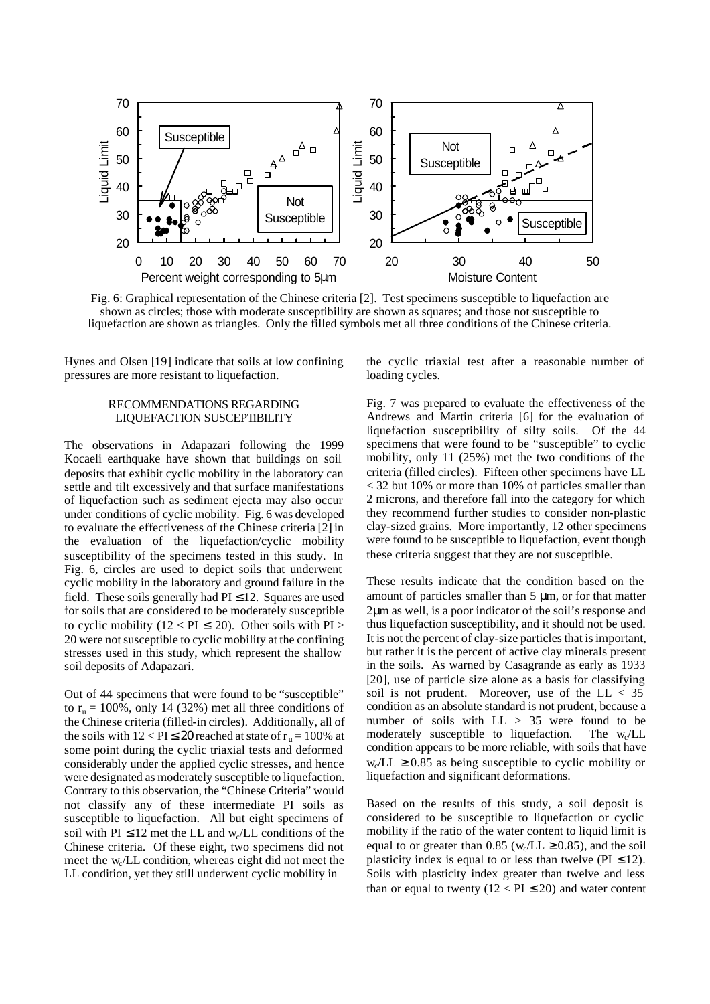

Fig. 6: Graphical representation of the Chinese criteria [2]. Test specimens susceptible to liquefaction are shown as circles; those with moderate susceptibility are shown as squares; and those not susceptible to liquefaction are shown as triangles. Only the filled symbols met all three conditions of the Chinese criteria.

Hynes and Olsen [19] indicate that soils at low confining pressures are more resistant to liquefaction.

# RECOMMENDATIONS REGARDING LIQUEFACTION SUSCEPTIBILITY

The observations in Adapazari following the 1999 Kocaeli earthquake have shown that buildings on soil deposits that exhibit cyclic mobility in the laboratory can settle and tilt excessively and that surface manifestations of liquefaction such as sediment ejecta may also occur under conditions of cyclic mobility. Fig. 6 was developed to evaluate the effectiveness of the Chinese criteria [2] in the evaluation of the liquefaction/cyclic mobility susceptibility of the specimens tested in this study. In Fig. 6, circles are used to depict soils that underwent cyclic mobility in the laboratory and ground failure in the field. These soils generally had  $PI \leq 12$ . Squares are used for soils that are considered to be moderately susceptible to cyclic mobility (12 < PI  $\leq$  20). Other soils with PI > 20 were not susceptible to cyclic mobility at the confining stresses used in this study, which represent the shallow soil deposits of Adapazari.

Out of 44 specimens that were found to be "susceptible" to  $r_u = 100\%$ , only 14 (32%) met all three conditions of the Chinese criteria (filled-in circles). Additionally, all of the soils with  $12 < PI \le 20$  reached at state of  $r_u = 100\%$  at some point during the cyclic triaxial tests and deformed considerably under the applied cyclic stresses, and hence were designated as moderately susceptible to liquefaction. Contrary to this observation, the "Chinese Criteria" would not classify any of these intermediate PI soils as susceptible to liquefaction. All but eight specimens of soil with  $PI \le 12$  met the LL and w<sub>c</sub>/LL conditions of the Chinese criteria. Of these eight, two specimens did not meet the w<sub>c</sub>/LL condition, whereas eight did not meet the LL condition, yet they still underwent cyclic mobility in

the cyclic triaxial test after a reasonable number of loading cycles.

Fig. 7 was prepared to evaluate the effectiveness of the Andrews and Martin criteria [6] for the evaluation of liquefaction susceptibility of silty soils. Of the 44 specimens that were found to be "susceptible" to cyclic mobility, only 11 (25%) met the two conditions of the criteria (filled circles). Fifteen other specimens have LL < 32 but 10% or more than 10% of particles smaller than 2 microns, and therefore fall into the category for which they recommend further studies to consider non-plastic clay-sized grains. More importantly, 12 other specimens were found to be susceptible to liquefaction, event though these criteria suggest that they are not susceptible.

These results indicate that the condition based on the amount of particles smaller than 5 μm, or for that matter 2μm as well, is a poor indicator of the soil's response and thus liquefaction susceptibility, and it should not be used. It is not the percent of clay-size particles that is important, but rather it is the percent of active clay minerals present in the soils. As warned by Casagrande as early as 1933 [20], use of particle size alone as a basis for classifying soil is not prudent. Moreover, use of the  $LL < 35$ condition as an absolute standard is not prudent, because a number of soils with LL > 35 were found to be moderately susceptible to liquefaction. The  $w_c/LL$ condition appears to be more reliable, with soils that have  $w_c/L$  ≥ 0.85 as being susceptible to cyclic mobility or liquefaction and significant deformations.

Based on the results of this study, a soil deposit is considered to be susceptible to liquefaction or cyclic mobility if the ratio of the water content to liquid limit is equal to or greater than 0.85 ( $w_c/LL \ge 0.85$ ), and the soil plasticity index is equal to or less than twelve ( $PI \le 12$ ). Soils with plasticity index greater than twelve and less than or equal to twenty  $(12 <$  PI  $\leq$  20) and water content